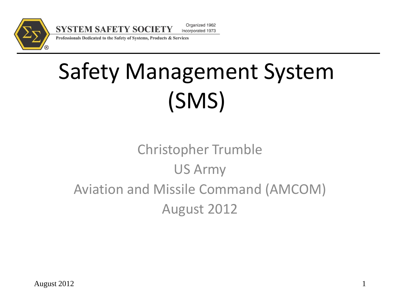

**SYSTEM SAFETY SOCIETY** Incorporated 1973 Professionals Dedicated to the Safety of Systems, Products & Services

# Safety Management System (SMS)

Organized 1962

#### Christopher Trumble US Army Aviation and Missile Command (AMCOM) August 2012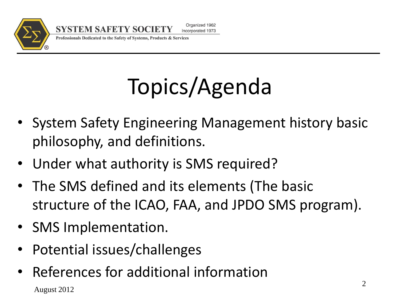

#### Professionals Dedicated to the Safety of Systems, Products & Services

# Topics/Agenda

- System Safety Engineering Management history basic philosophy, and definitions.
- Under what authority is SMS required?
- The SMS defined and its elements (The basic structure of the ICAO, FAA, and JPDO SMS program).
- SMS Implementation.
- Potential issues/challenges
- August 2012 • References for additional information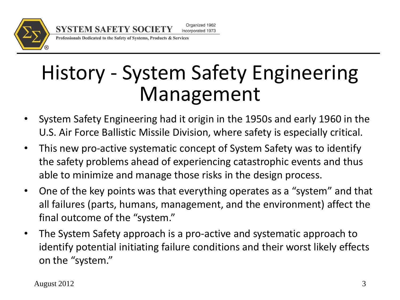

Professionals Dedicated to the Safety of Systems, Products & Services

**SYSTEM SAFETY SOCIETY** 

## History - System Safety Engineering Management

- System Safety Engineering had it origin in the 1950s and early 1960 in the U.S. Air Force Ballistic Missile Division, where safety is especially critical.
- This new pro-active systematic concept of System Safety was to identify the safety problems ahead of experiencing catastrophic events and thus able to minimize and manage those risks in the design process.
- One of the key points was that everything operates as a "system" and that all failures (parts, humans, management, and the environment) affect the final outcome of the "system."
- The System Safety approach is a pro-active and systematic approach to identify potential initiating failure conditions and their worst likely effects on the "system."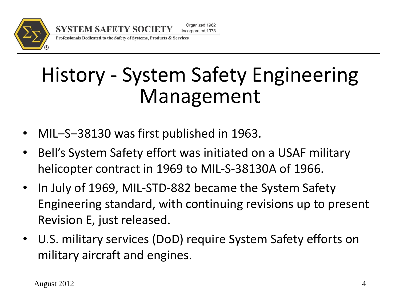

Professionals Dedicated to the Safety of Systems, Products & Services

**SYSTEM SAFETY SOCIETY** 

## History - System Safety Engineering Management

- MIL–S–38130 was first published in 1963.
- Bell's System Safety effort was initiated on a USAF military helicopter contract in 1969 to MIL-S-38130A of 1966.
- In July of 1969, MIL-STD-882 became the System Safety Engineering standard, with continuing revisions up to present Revision E, just released.
- U.S. military services (DoD) require System Safety efforts on military aircraft and engines.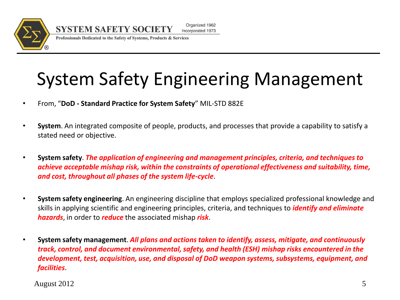

Professionals Dedicated to the Safety of Systems, Products & Services

**SYSTEM SAFETY SOCIETY** 

### System Safety Engineering Management

- From, "**DoD - Standard Practice for System Safety**" MIL-STD 882E
- **System**. An integrated composite of people, products, and processes that provide a capability to satisfy a stated need or objective.
- **System safety**. *The application of engineering and management principles, criteria, and techniques to achieve acceptable mishap risk, within the constraints of operational effectiveness and suitability, time, and cost, throughout all phases of the system life-cycle*.
- **System safety engineering**. An engineering discipline that employs specialized professional knowledge and skills in applying scientific and engineering principles, criteria, and techniques to *identify and eliminate hazards*, in order to *reduce* the associated mishap *risk*.
- **System safety management**. *All plans and actions taken to identify, assess, mitigate, and continuously track, control, and document environmental, safety, and health (ESH) mishap risks encountered in the development, test, acquisition, use, and disposal of DoD weapon systems, subsystems, equipment, and facilities*.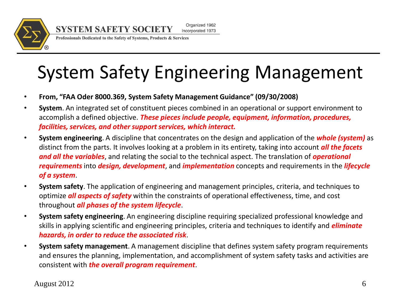

Professionals Dedicated to the Safety of Systems, Products & Services

## **System Safety Engineering Management**

- **From, "FAA Oder 8000.369, System Safety Management Guidance" (09/30/2008)**
- **System**. An integrated set of constituent pieces combined in an operational or support environment to accomplish a defined objective. *These pieces include people, equipment, information, procedures, facilities, services, and other support services, which interact.*
- **System engineering**. A discipline that concentrates on the design and application of the *whole (system)* as distinct from the parts. It involves looking at a problem in its entirety, taking into account *all the facets and all the variables*, and relating the social to the technical aspect. The translation of *operational requirements* into *design, development*, and *implementation* concepts and requirements in the *lifecycle of a system*.
- **System safety**. The application of engineering and management principles, criteria, and techniques to optimize *all aspects of safety* within the constraints of operational effectiveness, time, and cost throughout *all phases of the system lifecycle*.
- **System safety engineering**. An engineering discipline requiring specialized professional knowledge and skills in applying scientific and engineering principles, criteria and techniques to identify and *eliminate hazards, in order to reduce the associated risk*.
- **System safety management**. A management discipline that defines system safety program requirements and ensures the planning, implementation, and accomplishment of system safety tasks and activities are consistent with *the overall program requirement*.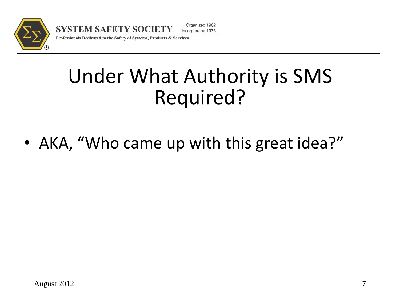

Professionals Dedicated to the Safety of Systems, Products & Services

**SYSTEM SAFETY SOCIETY** 

## Under What Authority is SMS Required?

• AKA, "Who came up with this great idea?"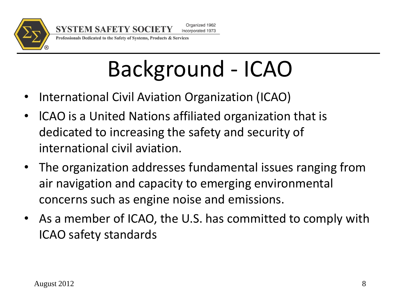

Professionals Dedicated to the Safety of Systems, Products & Services

**SYSTEM SAFETY SOCIETY** 

# Background - ICAO

- International Civil Aviation Organization (ICAO)
- lCAO is a United Nations affiliated organization that is dedicated to increasing the safety and security of international civil aviation.
- The organization addresses fundamental issues ranging from air navigation and capacity to emerging environmental concerns such as engine noise and emissions.
- As a member of ICAO, the U.S. has committed to comply with ICAO safety standards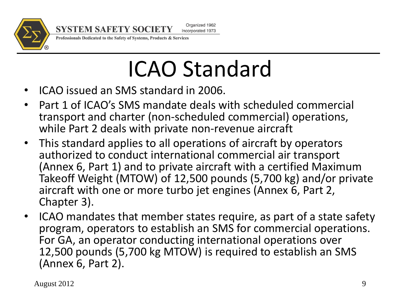

**SYSTEM SAFETY SOCIETY** 

Organized 1962 Incorporated 1973

Professionals Dedicated to the Safety of Systems, Products & Services

# ICAO Standard

- ICAO issued an SMS standard in 2006.
- Part 1 of ICAO's SMS mandate deals with scheduled commercial transport and charter (non-scheduled commercial) operations, while Part 2 deals with private non-revenue aircraft
- This standard applies to all operations of aircraft by operators authorized to conduct international commercial air transport (Annex 6, Part 1) and to private aircraft with a certified Maximum Takeoff Weight (MTOW) of 12,500 pounds (5,700 kg) and/or private aircraft with one or more turbo jet engines (Annex 6, Part 2, Chapter 3).
- ICAO mandates that member states require, as part of a state safety program, operators to establish an SMS for commercial operations. For GA, an operator conducting international operations over 12,500 pounds (5,700 kg MTOW) is required to establish an SMS (Annex 6, Part 2).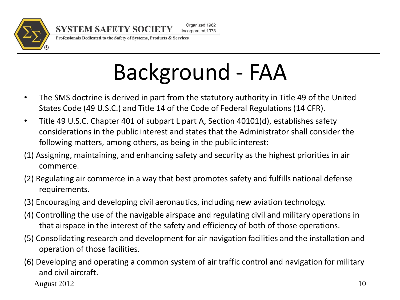

Professionals Dedicated to the Safety of Systems, Products & Services

**SYSTEM SAFETY SOCIETY** 

# Background - FAA

- The SMS doctrine is derived in part from the statutory authority in Title 49 of the United States Code (49 U.S.C.) and Title 14 of the Code of Federal Regulations (14 CFR).
- Title 49 U.S.C. Chapter 401 of subpart L part A, Section 40101(d), establishes safety considerations in the public interest and states that the Administrator shall consider the following matters, among others, as being in the public interest:
- (1) Assigning, maintaining, and enhancing safety and security as the highest priorities in air commerce.
- (2) Regulating air commerce in a way that best promotes safety and fulfills national defense requirements.
- (3) Encouraging and developing civil aeronautics, including new aviation technology.
- (4) Controlling the use of the navigable airspace and regulating civil and military operations in that airspace in the interest of the safety and efficiency of both of those operations.
- (5) Consolidating research and development for air navigation facilities and the installation and operation of those facilities.
- (6) Developing and operating a common system of air traffic control and navigation for military and civil aircraft.

August 2012 10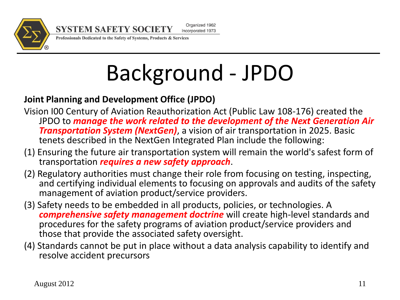

**SYSTEM SAFETY SOCIETY** 

Organized 1962 Incorporated 1973

Professionals Dedicated to the Safety of Systems, Products & Services

# Background - JPDO

#### **Joint Planning and Development Office (JPDO)**

- Vision I00 Century of Aviation Reauthorization Act (Public Law 108-176) created the JPDO to *manage the work related to the development of the Next Generation Air Transportation System (NextGen)*, a vision of air transportation in 2025. Basic tenets described in the NextGen Integrated Plan include the following:
- (1) Ensuring the future air transportation system will remain the world's safest form of transportation *requires a new safety approach*.
- (2) Regulatory authorities must change their role from focusing on testing, inspecting, and certifying individual elements to focusing on approvals and audits of the safety management of aviation product/service providers.
- (3) Safety needs to be embedded in all products, policies, or technologies. A *comprehensive safety management doctrine* will create high-level standards and procedures for the safety programs of aviation product/service providers and those that provide the associated safety oversight.
- (4) Standards cannot be put in place without a data analysis capability to identify and resolve accident precursors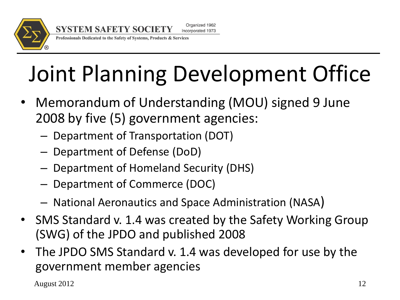

Professionals Dedicated to the Safety of Systems, Products & Services

**SYSTEM SAFETY SOCIETY** 

# Joint Planning Development Office

- Memorandum of Understanding (MOU) signed 9 June 2008 by five (5) government agencies:
	- Department of Transportation (DOT)
	- Department of Defense (DoD)
	- Department of Homeland Security (DHS)
	- Department of Commerce (DOC)
	- National Aeronautics and Space Administration (NASA)
- SMS Standard v. 1.4 was created by the Safety Working Group (SWG) of the JPDO and published 2008
- The JPDO SMS Standard v. 1.4 was developed for use by the government member agencies

August 2012 12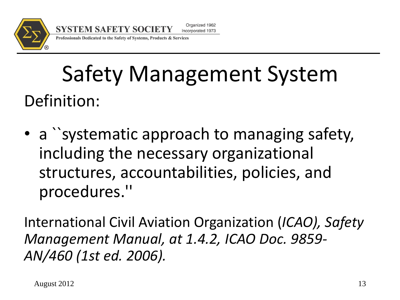

Professionals Dedicated to the Safety of Systems, Products & Services

## Safety Management System Definition:

• a `systematic approach to managing safety, including the necessary organizational structures, accountabilities, policies, and procedures.''

International Civil Aviation Organization (*ICAO), Safety Management Manual, at 1.4.2, ICAO Doc. 9859- AN/460 (1st ed. 2006).*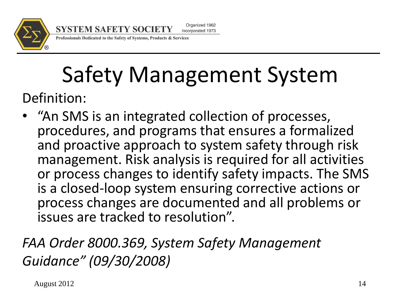

#### Professionals Dedicated to the Safety of Systems, Products & Services

**SYSTEM SAFETY SOCIETY** 

### Safety Management System Definition:

• "An SMS is an integrated collection of processes, procedures, and programs that ensures a formalized and proactive approach to system safety through risk management. Risk analysis is required for all activities or process changes to identify safety impacts. The SMS is a closed-loop system ensuring corrective actions or process changes are documented and all problems or issues are tracked to resolution".

#### *FAA Order 8000.369, System Safety Management Guidance" (09/30/2008)*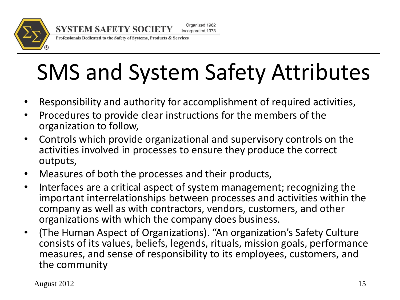

Professionals Dedicated to the Safety of Systems, Products & Services

# SMS and System Safety Attributes

- Responsibility and authority for accomplishment of required activities,
- Procedures to provide clear instructions for the members of the organization to follow,
- Controls which provide organizational and supervisory controls on the activities involved in processes to ensure they produce the correct outputs,
- Measures of both the processes and their products,
- Interfaces are a critical aspect of system management; recognizing the important interrelationships between processes and activities within the company as well as with contractors, vendors, customers, and other organizations with which the company does business.
- (The Human Aspect of Organizations). "An organization's Safety Culture consists of its values, beliefs, legends, rituals, mission goals, performance measures, and sense of responsibility to its employees, customers, and the community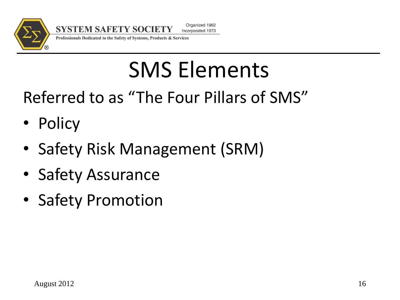

Professionals Dedicated to the Safety of Systems, Products & Services

# SMS Elements

Referred to as "The Four Pillars of SMS"

- Policy
- Safety Risk Management (SRM)
- Safety Assurance
- Safety Promotion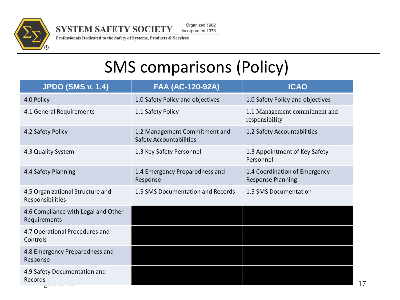

**SYSTEM SAFETY SOCIETY** 

Organized 1962 Incorporated 1973

Professionals Dedicated to the Safety of Systems, Products & Services

#### SMS comparisons (Policy)

| <b>JPDO (SMS v. 1.4)</b>                             | FAA (AC-120-92A)                                                | <b>ICAO</b>                                               |
|------------------------------------------------------|-----------------------------------------------------------------|-----------------------------------------------------------|
| 4.0 Policy                                           | 1.0 Safety Policy and objectives                                | 1.0 Safety Policy and objectives                          |
| 4.1 General Requirements                             | 1.1 Safety Policy                                               | 1.1 Management commitment and<br>responsibility           |
| 4.2 Safety Policy                                    | 1.2 Management Commitment and<br><b>Safety Accountabilities</b> | 1.2 Safety Accountabilities                               |
| 4.3 Quality System                                   | 1.3 Key Safety Personnel                                        | 1.3 Appointment of Key Safety<br>Personnel                |
| 4.4 Safety Planning                                  | 1.4 Emergency Preparedness and<br>Response                      | 1.4 Coordination of Emergency<br><b>Response Planning</b> |
| 4.5 Organizational Structure and<br>Responsibilities | 1.5 SMS Documentation and Records                               | 1.5 SMS Documentation                                     |
| 4.6 Compliance with Legal and Other<br>Requirements  |                                                                 |                                                           |
| 4.7 Operational Procedures and<br>Controls           |                                                                 |                                                           |
| 4.8 Emergency Preparedness and<br>Response           |                                                                 |                                                           |
| 4.9 Safety Documentation and<br>Records              |                                                                 |                                                           |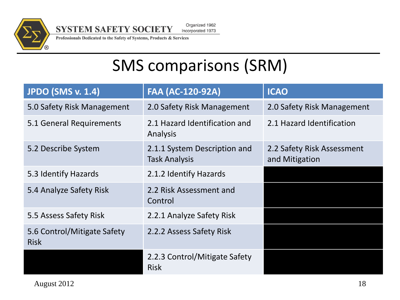

Organized 1962 **SYSTEM SAFETY SOCIETY** 

Incorporated 1973

Professionals Dedicated to the Safety of Systems, Products & Services

#### SMS comparisons (SRM)

| <b>JPDO (SMS v. 1.4)</b>                   | <b>FAA (AC-120-92A)</b>                              | <b>ICAO</b>                                  |
|--------------------------------------------|------------------------------------------------------|----------------------------------------------|
| 5.0 Safety Risk Management                 | 2.0 Safety Risk Management                           | 2.0 Safety Risk Management                   |
| 5.1 General Requirements                   | 2.1 Hazard Identification and<br>Analysis            | 2.1 Hazard Identification                    |
| 5.2 Describe System                        | 2.1.1 System Description and<br><b>Task Analysis</b> | 2.2 Safety Risk Assessment<br>and Mitigation |
| 5.3 Identify Hazards                       | 2.1.2 Identify Hazards                               |                                              |
| 5.4 Analyze Safety Risk                    | 2.2 Risk Assessment and<br>Control                   |                                              |
| 5.5 Assess Safety Risk                     | 2.2.1 Analyze Safety Risk                            |                                              |
| 5.6 Control/Mitigate Safety<br><b>Risk</b> | 2.2.2 Assess Safety Risk                             |                                              |
|                                            | 2.2.3 Control/Mitigate Safety<br><b>Risk</b>         |                                              |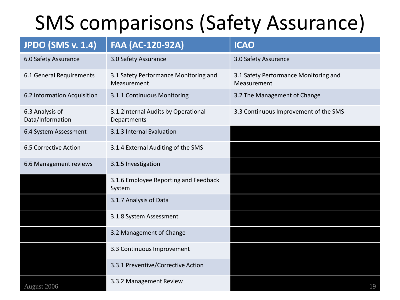## SMS comparisons (Safety Assurance)

| <b>JPDO (SMS v. 1.4)</b>            | <b>FAA (AC-120-92A)</b>                              | <b>ICAO</b>                                          |
|-------------------------------------|------------------------------------------------------|------------------------------------------------------|
| 6.0 Safety Assurance                | 3.0 Safety Assurance                                 | 3.0 Safety Assurance                                 |
| 6.1 General Requirements            | 3.1 Safety Performance Monitoring and<br>Measurement | 3.1 Safety Performance Monitoring and<br>Measurement |
| 6.2 Information Acquisition         | 3.1.1 Continuous Monitoring                          | 3.2 The Management of Change                         |
| 6.3 Analysis of<br>Data/Information | 3.1.2Internal Audits by Operational<br>Departments   | 3.3 Continuous Improvement of the SMS                |
| 6.4 System Assessment               | 3.1.3 Internal Evaluation                            |                                                      |
| 6.5 Corrective Action               | 3.1.4 External Auditing of the SMS                   |                                                      |
| 6.6 Management reviews              | 3.1.5 Investigation                                  |                                                      |
|                                     | 3.1.6 Employee Reporting and Feedback<br>System      |                                                      |
|                                     | 3.1.7 Analysis of Data                               |                                                      |
|                                     | 3.1.8 System Assessment                              |                                                      |
|                                     | 3.2 Management of Change                             |                                                      |
|                                     | 3.3 Continuous Improvement                           |                                                      |
|                                     | 3.3.1 Preventive/Corrective Action                   |                                                      |
| August 2006                         | 3.3.2 Management Review                              | 19                                                   |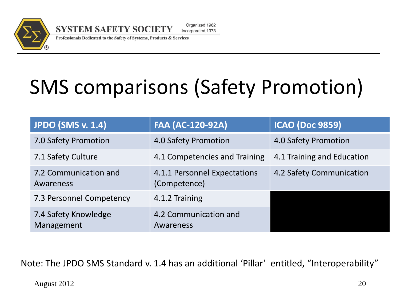

Professionals Dedicated to the Safety of Systems, Products & Services

## SMS comparisons (Safety Promotion)

| <b>JPDO (SMS v. 1.4)</b>           | <b>FAA (AC-120-92A)</b>                      | <b>ICAO (Doc 9859)</b>     |
|------------------------------------|----------------------------------------------|----------------------------|
| 7.0 Safety Promotion               | 4.0 Safety Promotion                         | 4.0 Safety Promotion       |
| 7.1 Safety Culture                 | 4.1 Competencies and Training                | 4.1 Training and Education |
| 7.2 Communication and<br>Awareness | 4.1.1 Personnel Expectations<br>(Competence) | 4.2 Safety Communication   |
| 7.3 Personnel Competency           | 4.1.2 Training                               |                            |
| 7.4 Safety Knowledge<br>Management | 4.2 Communication and<br>Awareness           |                            |

Note: The JPDO SMS Standard v. 1.4 has an additional 'Pillar' entitled, "Interoperability"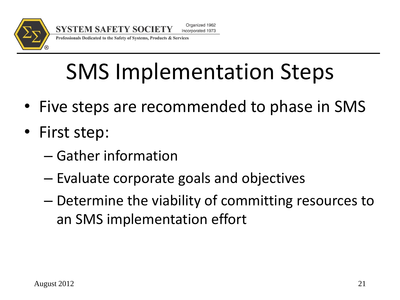

**SYSTEM SAFETY SOCIETY** Incorporated 1973 Professionals Dedicated to the Safety of Systems, Products & Services

# SMS Implementation Steps

Organized 1962

- Five steps are recommended to phase in SMS
- First step:
	- Gather information
	- Evaluate corporate goals and objectives
	- Determine the viability of committing resources to an SMS implementation effort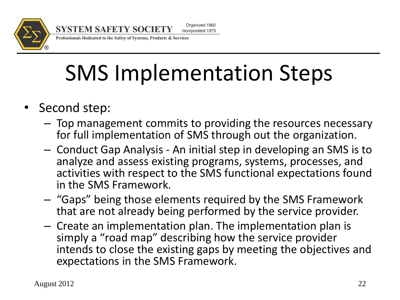

Professionals Dedicated to the Safety of Systems, Products & Services

# SMS Implementation Steps

- Second step:
	- Top management commits to providing the resources necessary for full implementation of SMS through out the organization.
	- Conduct Gap Analysis An initial step in developing an SMS is to analyze and assess existing programs, systems, processes, and activities with respect to the SMS functional expectations found in the SMS Framework.
	- "Gaps" being those elements required by the SMS Framework that are not already being performed by the service provider.
	- Create an implementation plan. The implementation plan is simply a "road map" describing how the service provider intends to close the existing gaps by meeting the objectives and expectations in the SMS Framework.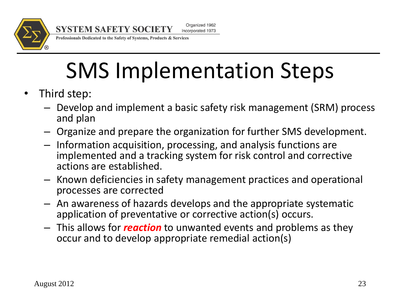

Professionals Dedicated to the Safety of Systems, Products & Services

# SMS Implementation Steps

- Third step:
	- Develop and implement a basic safety risk management (SRM) process and plan
	- Organize and prepare the organization for further SMS development.
	- Information acquisition, processing, and analysis functions are implemented and a tracking system for risk control and corrective actions are established.
	- Known deficiencies in safety management practices and operational processes are corrected
	- An awareness of hazards develops and the appropriate systematic application of preventative or corrective action(s) occurs.
	- This allows for *reaction* to unwanted events and problems as they occur and to develop appropriate remedial action(s)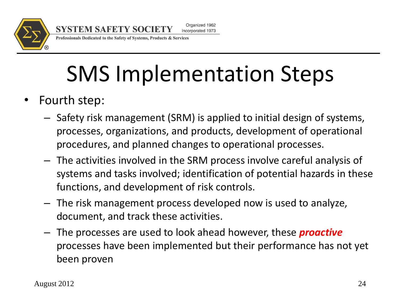

Professionals Dedicated to the Safety of Systems, Products & Services

# SMS Implementation Steps

- Fourth step:
	- Safety risk management (SRM) is applied to initial design of systems, processes, organizations, and products, development of operational procedures, and planned changes to operational processes.
	- The activities involved in the SRM process involve careful analysis of systems and tasks involved; identification of potential hazards in these functions, and development of risk controls.
	- The risk management process developed now is used to analyze, document, and track these activities.
	- The processes are used to look ahead however, these *proactive* processes have been implemented but their performance has not yet been proven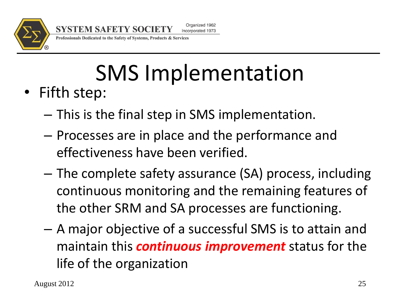

Professionals Dedicated to the Safety of Systems, Products & Services

**SYSTEM SAFETY SOCIETY** 

# SMS Implementation

- Fifth step:
	- This is the final step in SMS implementation.
	- Processes are in place and the performance and effectiveness have been verified.
	- The complete safety assurance (SA) process, including continuous monitoring and the remaining features of the other SRM and SA processes are functioning.
	- A major objective of a successful SMS is to attain and maintain this *continuous improvement* status for the life of the organization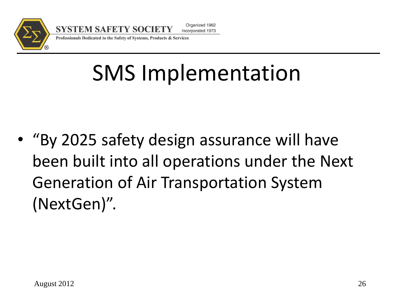

Professionals Dedicated to the Safety of Systems, Products & Services

# SMS Implementation

• "By 2025 safety design assurance will have been built into all operations under the Next Generation of Air Transportation System (NextGen)".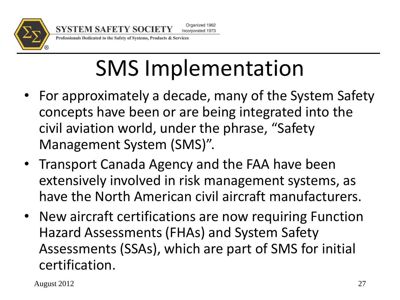

Professionals Dedicated to the Safety of Systems, Products & Services

# SMS Implementation

- For approximately a decade, many of the System Safety concepts have been or are being integrated into the civil aviation world, under the phrase, "Safety Management System (SMS)".
- Transport Canada Agency and the FAA have been extensively involved in risk management systems, as have the North American civil aircraft manufacturers.
- New aircraft certifications are now requiring Function Hazard Assessments (FHAs) and System Safety Assessments (SSAs), which are part of SMS for initial certification.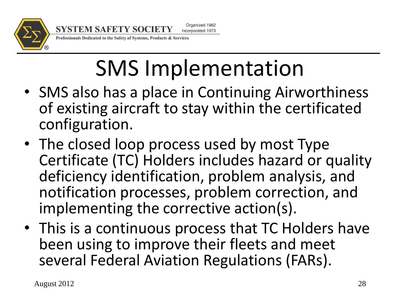

**SYSTEM SAFETY SOCIETY** Incorporated 1973

Professionals Dedicated to the Safety of Systems, Products & Services

# SMS Implementation

Organized 1962

- SMS also has a place in Continuing Airworthiness of existing aircraft to stay within the certificated configuration.
- The closed loop process used by most Type Certificate (TC) Holders includes hazard or quality deficiency identification, problem analysis, and notification processes, problem correction, and implementing the corrective action(s).
- This is a continuous process that TC Holders have been using to improve their fleets and meet several Federal Aviation Regulations (FARs).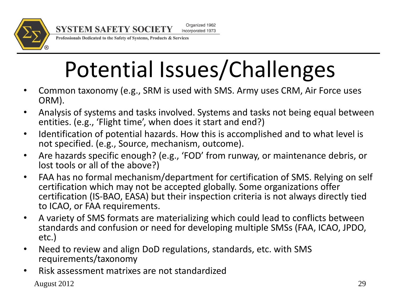

**SYSTEM SAFETY SOCIETY** 

Organized 1962 Incorporated 1973

Professionals Dedicated to the Safety of Systems, Products & Services

# Potential Issues/Challenges

- Common taxonomy (e.g., SRM is used with SMS. Army uses CRM, Air Force uses ORM).
- Analysis of systems and tasks involved. Systems and tasks not being equal between entities. (e.g., 'Flight time', when does it start and end?)
- Identification of potential hazards. How this is accomplished and to what level is not specified. (e.g., Source, mechanism, outcome).
- Are hazards specific enough? (e.g., 'FOD' from runway, or maintenance debris, or lost tools or all of the above?)
- FAA has no formal mechanism/department for certification of SMS. Relying on self certification which may not be accepted globally. Some organizations offer certification (IS-BAO, EASA) but their inspection criteria is not always directly tied to ICAO, or FAA requirements.
- A variety of SMS formats are materializing which could lead to conflicts between standards and confusion or need for developing multiple SMSs (FAA, ICAO, JPDO, etc.)
- Need to review and align DoD regulations, standards, etc. with SMS requirements/taxonomy
- Risk assessment matrixes are not standardized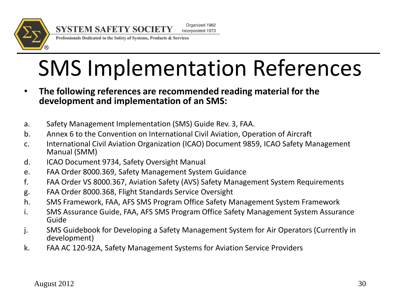

**SYSTEM SAFETY SOCIETY** Incorporated 1973

Professionals Dedicated to the Safety of Systems, Products & Services

# SMS Implementation References

Organized 1962

- **The following references are recommended reading material for the development and implementation of an SMS:**
- a. Safety Management Implementation (SMS) Guide Rev. 3, FAA.
- b. Annex 6 to the Convention on International Civil Aviation, Operation of Aircraft
- c. International Civil Aviation Organization (ICAO) Document 9859, ICAO Safety Management Manual (SMM)
- d. ICAO Document 9734, Safety Oversight Manual
- e. FAA Order 8000.369, Safety Management System Guidance
- f. FAA Order VS 8000.367, Aviation Safety (AVS) Safety Management System Requirements
- g. FAA Order 8000.368, Flight Standards Service Oversight
- h. SMS Framework, FAA, AFS SMS Program Office Safety Management System Framework
- i. SMS Assurance Guide, FAA, AFS SMS Program Office Safety Management System Assurance Guide
- j. SMS Guidebook for Developing a Safety Management System for Air Operators (Currently in development)
- k. FAA AC 120-92A, Safety Management Systems for Aviation Service Providers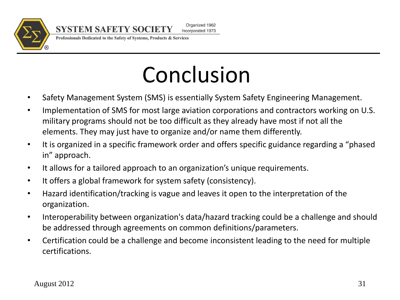

Professionals Dedicated to the Safety of Systems, Products & Services

**SYSTEM SAFETY SOCIETY** 

# Conclusion

- Safety Management System (SMS) is essentially System Safety Engineering Management.
- Implementation of SMS for most large aviation corporations and contractors working on U.S. military programs should not be too difficult as they already have most if not all the elements. They may just have to organize and/or name them differently.
- It is organized in a specific framework order and offers specific guidance regarding a "phased in" approach.
- It allows for a tailored approach to an organization's unique requirements.
- It offers a global framework for system safety (consistency).
- Hazard identification/tracking is vague and leaves it open to the interpretation of the organization.
- Interoperability between organization's data/hazard tracking could be a challenge and should be addressed through agreements on common definitions/parameters.
- Certification could be a challenge and become inconsistent leading to the need for multiple certifications.